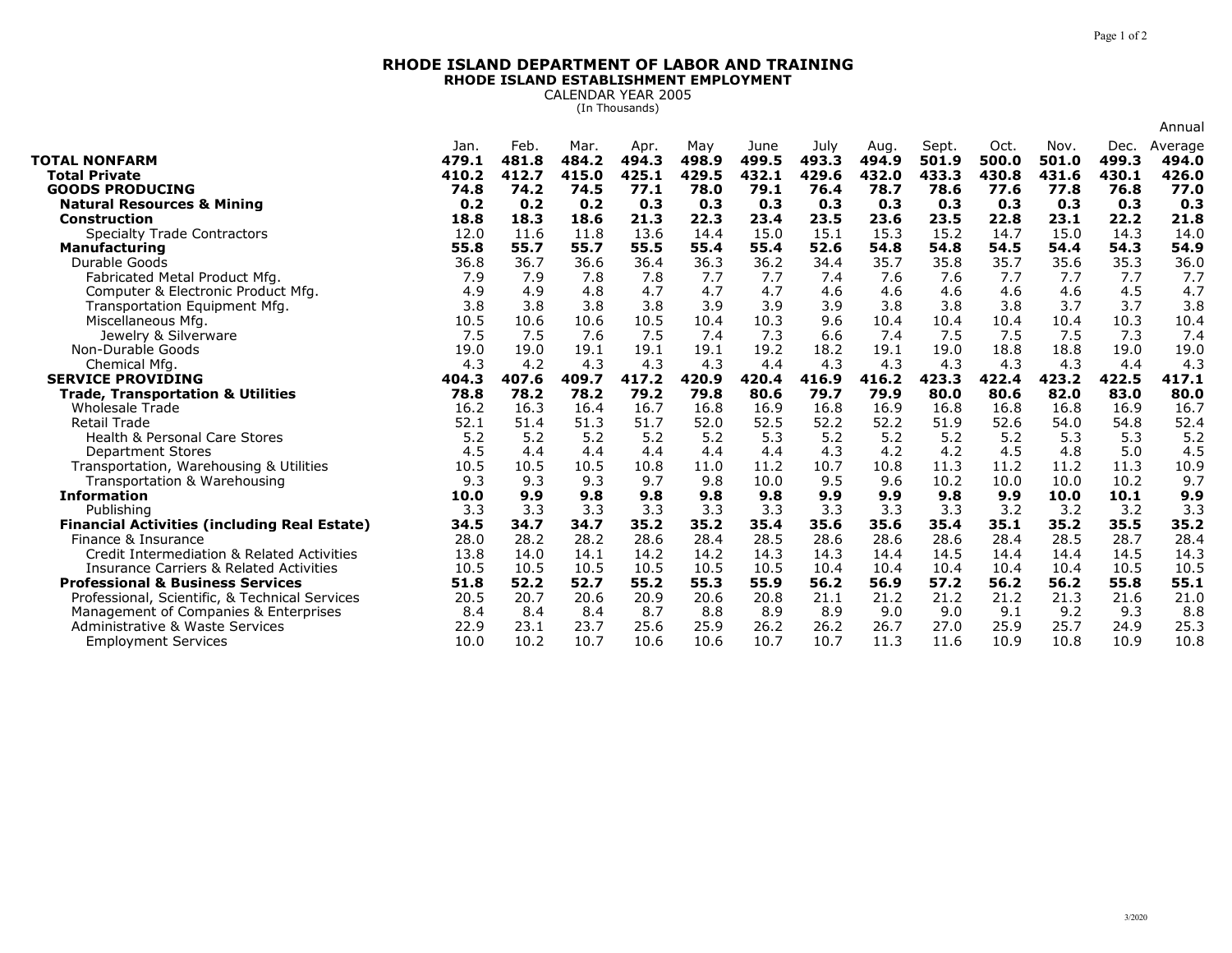## **RHODE ISLAND DEPARTMENT OF LABOR AND TRAININGRHODE ISLAND ESTABLISHMENT EMPLOYMENT**

CALENDAR YEAR 2005 (In Thousands)

|                                                               |               |               |               |               |              |               |               |               |                |               |               |               | Annual           |
|---------------------------------------------------------------|---------------|---------------|---------------|---------------|--------------|---------------|---------------|---------------|----------------|---------------|---------------|---------------|------------------|
| <b>TOTAL NONFARM</b>                                          | Jan.<br>479.1 | Feb.<br>481.8 | Mar.<br>484.2 | Apr.<br>494.3 | May<br>498.9 | June<br>499.5 | July<br>493.3 | Aug.<br>494.9 | Sept.<br>501.9 | Oct.<br>500.0 | Nov.<br>501.0 | Dec.<br>499.3 | Average<br>494.0 |
| <b>Total Private</b>                                          | 410.2         | 412.7         | 415.0         | 425.1         | 429.5        | 432.1         | 429.6         | 432.0         | 433.3          | 430.8         | 431.6         | 430.1         | 426.0            |
| <b>GOODS PRODUCING</b>                                        | 74.8          | 74.2          | 74.5          | 77.1          | 78.0         | 79.1          | 76.4          | 78.7          | 78.6           | 77.6          | 77.8          | 76.8          | 77.0             |
| <b>Natural Resources &amp; Mining</b>                         | 0.2           | 0.2           | 0.2           | 0.3           | 0.3          | 0.3           | 0.3           | 0.3           | 0.3            | 0.3           | 0.3           | 0.3           | 0.3              |
| <b>Construction</b>                                           | 18.8          | 18.3          | 18.6          | 21.3          | 22.3         | 23.4          | 23.5          | 23.6          | 23.5           | 22.8          | 23.1          | 22.2          | 21.8             |
| <b>Specialty Trade Contractors</b>                            | 12.0          | 11.6          | 11.8          | 13.6          | 14.4         | 15.0          | 15.1          | 15.3          | 15.2           | 14.7          | 15.0          | 14.3          | 14.0             |
| <b>Manufacturing</b>                                          | 55.8          | 55.7          | 55.7          | 55.5          | 55.4         | 55.4          | 52.6          | 54.8          | 54.8           | 54.5          | 54.4          | 54.3          | 54.9             |
| Durable Goods                                                 | 36.8          | 36.7          | 36.6          | 36.4          | 36.3         | 36.2          | 34.4          | 35.7          | 35.8           | 35.7          | 35.6          | 35.3          | 36.0             |
| Fabricated Metal Product Mfg.                                 | 7.9           | 7.9           | 7.8           | 7.8           | 7.7          | 7.7           | 7.4           | 7.6           | 7.6            | 7.7           | 7.7           | 7.7           | 7.7              |
| Computer & Electronic Product Mfg.                            | 4.9           | 4.9           | 4.8           | 4.7           | 4.7          | 4.7           | 4.6           | 4.6           | 4.6            | 4.6           | 4.6           | 4.5           | 4.7              |
| Transportation Equipment Mfg.                                 | 3.8           | 3.8           | 3.8           | 3.8           | 3.9          | 3.9           | 3.9           | 3.8           | 3.8            | 3.8           | 3.7           | 3.7           | 3.8              |
| Miscellaneous Mfg                                             | 10.5          | 10.6          | 10.6          | 10.5          | 10.4         | 10.3          | 9.6           | 10.4          | 10.4           | 10.4          | 10.4          | 10.3          | 10.4             |
| Jewelry & Silverware                                          | 7.5           | 7.5           | 7.6           | 7.5           | 7.4          | 7.3           | 6.6           | 7.4           | 7.5            | 7.5           | 7.5           | 7.3           | 7.4              |
| Non-Durable Goods                                             | 19.0          | 19.0          | 19.1          | 19.1          | 19.1         | 19.2          | 18.2          | 19.1          | 19.0           | 18.8          | 18.8          | 19.0          | 19.0             |
| Chemical Mfg.                                                 | 4.3           | 4.2           | 4.3           | 4.3           | 4.3          | 4.4           | 4.3           | 4.3           | 4.3            | 4.3           | 4.3           | 4.4           | 4.3              |
| <b>SERVICE PROVIDING</b>                                      | 404.3         | 407.6         | 409.7         | 417.2         | 420.9        | 420.4         | 416.9         | 416.2         | 423.3          | 422.4         | 423.2         | 422.5         | 417.1            |
| <b>Trade, Transportation &amp; Utilities</b>                  | 78.8          | 78.2          | 78.2          | 79.2          | 79.8         | 80.6          | 79.7          | 79.9          | 80.0           | 80.6          | 82.0          | 83.0          | 80.0             |
| <b>Wholesale Trade</b>                                        | 16.2          | 16.3          | 16.4          | 16.7          | 16.8         | 16.9          | 16.8          | 16.9          | 16.8           | 16.8          | 16.8          | 16.9          | 16.7             |
| <b>Retail Trade</b>                                           | 52.1          | 51.4          | 51.3          | 51.7          | 52.0         | 52.5          | 52.2          | 52.2          | 51.9           | 52.6          | 54.0          | 54.8          | 52.4             |
|                                                               |               |               |               |               |              |               |               |               |                |               |               |               |                  |
| <b>Health &amp; Personal Care Stores</b>                      | 5.2           | 5.2           | 5.2           | 5.2           | 5.2          | 5.3           | 5.2           | 5.2           | 5.2            | 5.2           | 5.3           | 5.3           | 5.2              |
| <b>Department Stores</b>                                      | 4.5           | 4.4           | 4.4           | 4.4           | 4.4          | 4.4           | 4.3           | 4.2           | 4.2            | 4.5           | 4.8           | 5.0           | 4.5              |
| Transportation, Warehousing & Utilities                       | 10.5          | 10.5          | 10.5          | 10.8          | 11.0         | 11.2          | 10.7          | 10.8          | 11.3           | 11.2          | 11.2          | 11.3          | 10.9             |
| Transportation & Warehousing                                  | 9.3           | 9.3           | 9.3           | 9.7           | 9.8          | 10.0          | 9.5           | 9.6           | 10.2           | 10.0          | 10.0          | 10.2          | 9.7              |
| <b>Information</b>                                            | 10.0          | 9.9           | 9.8           | 9.8           | 9.8          | 9.8           | 9.9           | 9.9           | 9.8            | 9.9           | 10.0          | 10.1          | 9.9              |
| Publishing                                                    | 3.3           | 3.3           | 3.3           | 3.3           | 3.3          | 3.3           | 3.3           | 3.3           | 3.3            | 3.2           | 3.2           | 3.2           | 3.3              |
| <b>Financial Activities (including Real Estate)</b>           | 34.5          | 34.7          | 34.7          | 35.2          | 35.2         | 35.4          | 35.6          | 35.6          | 35.4           | 35.1          | 35.2          | 35.5          | 35.2             |
| Finance & Insurance                                           | 28.0          | 28.2          | 28.2          | 28.6          | 28.4         | 28.5          | 28.6          | 28.6          | 28.6           | 28.4          | 28.5          | 28.7          | 28.4             |
| Credit Intermediation & Related Activities                    | 13.8          | 14.0          | 14.1          | 14.2          | 14.2         | 14.3          | 14.3          | 14.4          | 14.5           | 14.4          | 14.4          | 14.5          | 14.3             |
| <b>Insurance Carriers &amp; Related Activities</b>            | 10.5          | 10.5          | 10.5          | 10.5          | 10.5         | 10.5          | 10.4          | 10.4          | 10.4           | 10.4          | 10.4          | 10.5          | 10.5             |
| <b>Professional &amp; Business Services</b>                   | 51.8          | 52.2          | 52.7          | 55.2          | 55.3         | 55.9          | 56.2          | 56.9          | 57.2           | 56.2          | 56.2          | 55.8          | 55.1             |
| Professional, Scientific, & Technical Services                | 20.5          | 20.7          | 20.6          | 20.9          | 20.6         | 20.8          | 21.1          | 21.2          | 21.2           | 21.2          | 21.3          | 21.6          | 21.0             |
| Management of Companies & Enterprises                         | 8.4           | 8.4           | 8.4           | 8.7           | 8.8          | 8.9           | 8.9           | 9.0           | 9.0            | 9.1           | 9.2           | 9.3           | 8.8              |
| Administrative & Waste Services<br><b>Employment Services</b> | 22.9<br>10.0  | 23.1<br>10.2  | 23.7<br>10.7  | 25.6<br>10.6  | 25.9<br>10.6 | 26.2<br>10.7  | 26.2<br>10.7  | 26.7<br>11.3  | 27.0<br>11.6   | 25.9<br>10.9  | 25.7<br>10.8  | 24.9<br>10.9  | 25.3<br>10.8     |